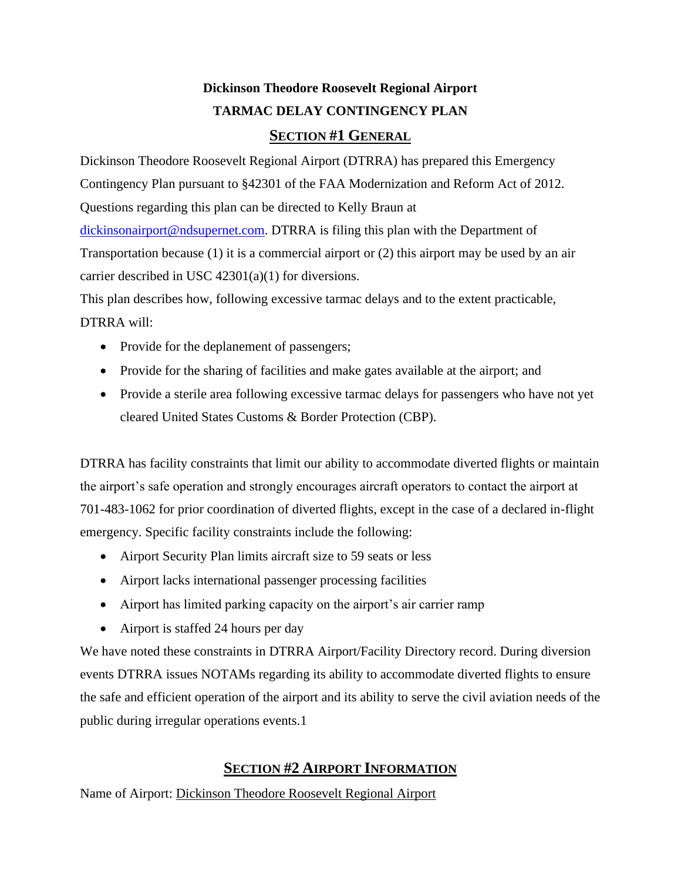# **Dickinson Theodore Roosevelt Regional Airport TARMAC DELAY CONTINGENCY PLAN**

### **SECTION #1 GENERAL**

Dickinson Theodore Roosevelt Regional Airport (DTRRA) has prepared this Emergency Contingency Plan pursuant to §42301 of the FAA Modernization and Reform Act of 2012. Questions regarding this plan can be directed to Kelly Braun at [dickinsonairport@ndsupernet.com.](mailto:dickinsonairport@ndsupernet.com) DTRRA is filing this plan with the Department of Transportation because (1) it is a commercial airport or (2) this airport may be used by an air carrier described in USC 42301(a)(1) for diversions.

This plan describes how, following excessive tarmac delays and to the extent practicable, DTRRA will:

- Provide for the deplanement of passengers;
- Provide for the sharing of facilities and make gates available at the airport; and
- Provide a sterile area following excessive tarmac delays for passengers who have not yet cleared United States Customs & Border Protection (CBP).

DTRRA has facility constraints that limit our ability to accommodate diverted flights or maintain the airport's safe operation and strongly encourages aircraft operators to contact the airport at 701-483-1062 for prior coordination of diverted flights, except in the case of a declared in-flight emergency. Specific facility constraints include the following:

- Airport Security Plan limits aircraft size to 59 seats or less
- Airport lacks international passenger processing facilities
- Airport has limited parking capacity on the airport's air carrier ramp
- Airport is staffed 24 hours per day

We have noted these constraints in DTRRA Airport/Facility Directory record. During diversion events DTRRA issues NOTAMs regarding its ability to accommodate diverted flights to ensure the safe and efficient operation of the airport and its ability to serve the civil aviation needs of the public during irregular operations events.1

## **SECTION #2 AIRPORT INFORMATION**

Name of Airport: Dickinson Theodore Roosevelt Regional Airport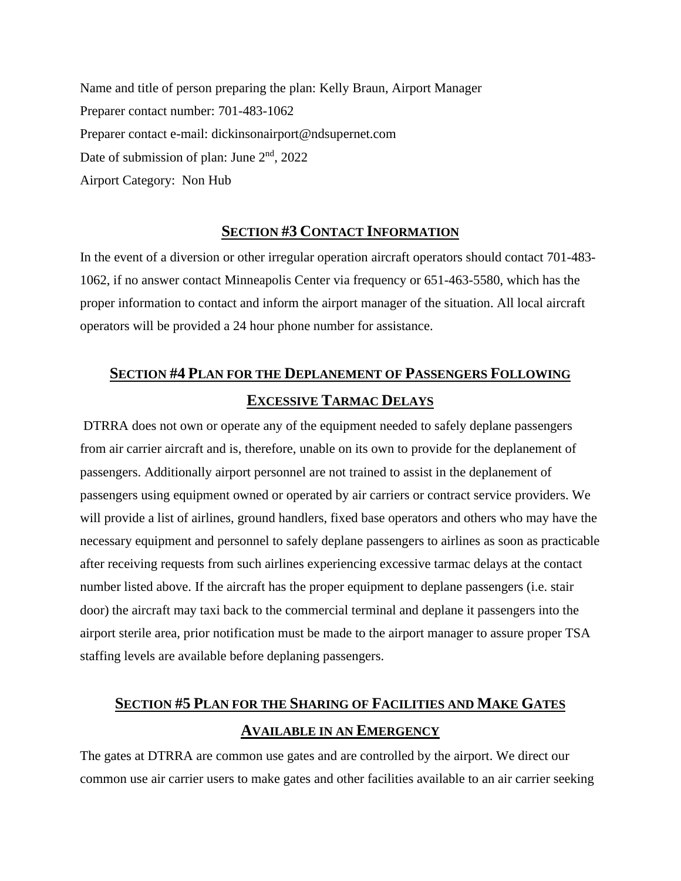Name and title of person preparing the plan: Kelly Braun, Airport Manager Preparer contact number: 701-483-1062 Preparer contact e-mail: dickinsonairport@ndsupernet.com Date of submission of plan: June 2<sup>nd</sup>, 2022 Airport Category: Non Hub

#### **SECTION #3 CONTACT INFORMATION**

In the event of a diversion or other irregular operation aircraft operators should contact 701-483- 1062, if no answer contact Minneapolis Center via frequency or 651-463-5580, which has the proper information to contact and inform the airport manager of the situation. All local aircraft operators will be provided a 24 hour phone number for assistance.

## **SECTION #4 PLAN FOR THE DEPLANEMENT OF PASSENGERS FOLLOWING EXCESSIVE TARMAC DELAYS**

DTRRA does not own or operate any of the equipment needed to safely deplane passengers from air carrier aircraft and is, therefore, unable on its own to provide for the deplanement of passengers. Additionally airport personnel are not trained to assist in the deplanement of passengers using equipment owned or operated by air carriers or contract service providers. We will provide a list of airlines, ground handlers, fixed base operators and others who may have the necessary equipment and personnel to safely deplane passengers to airlines as soon as practicable after receiving requests from such airlines experiencing excessive tarmac delays at the contact number listed above. If the aircraft has the proper equipment to deplane passengers (i.e. stair door) the aircraft may taxi back to the commercial terminal and deplane it passengers into the airport sterile area, prior notification must be made to the airport manager to assure proper TSA staffing levels are available before deplaning passengers.

# **SECTION #5 PLAN FOR THE SHARING OF FACILITIES AND MAKE GATES AVAILABLE IN AN EMERGENCY**

The gates at DTRRA are common use gates and are controlled by the airport. We direct our common use air carrier users to make gates and other facilities available to an air carrier seeking